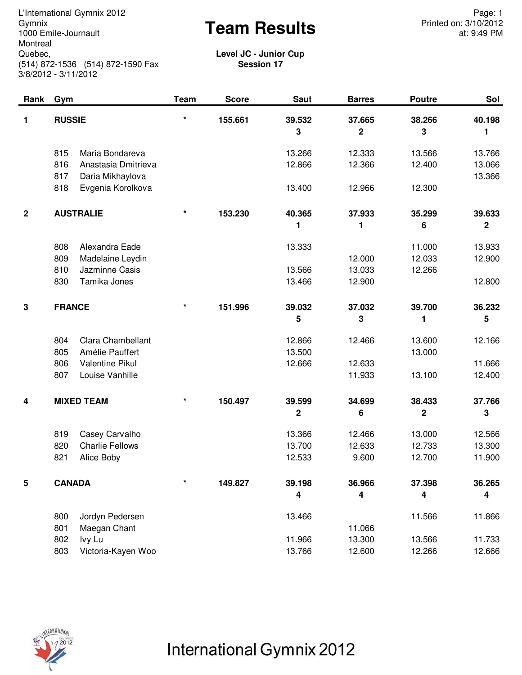Gymnix<br>1000 Emile-Journault **Exam Results** Printed on: 3/10/2012<br>at: 9:49 PM L'International Gymnix 2012<br>
Gymnix Page: 1<br>
Gymnix Printed on: 3/10/2012 1000 Emile-Journault **Montreal** Quebec, (514) 872-1536 (514) 872-1590 Fax 3/8/2012 - 3/11/2012

at: 9:49 PM

**Level JC - Junior Cup Session 17**

| Rank                    | Gym                                                                                                                  | <b>Team</b> | <b>Score</b> | <b>Saut</b>                | <b>Barres</b>              | <b>Poutre</b>              | Sol                        |
|-------------------------|----------------------------------------------------------------------------------------------------------------------|-------------|--------------|----------------------------|----------------------------|----------------------------|----------------------------|
| 1                       | <b>RUSSIE</b>                                                                                                        | $\star$     | 155.661      | 39.532<br>3                | 37.665<br>$\overline{2}$   | 38.266<br>3                | 40.198<br>1                |
|                         | 815<br>Maria Bondareva<br>816<br>Anastasia Dmitrieva<br>817<br>Daria Mikhaylova                                      |             |              | 13.266<br>12.866           | 12.333<br>12.366           | 13.566<br>12.400           | 13.766<br>13.066<br>13.366 |
|                         | 818<br>Evgenia Korolkova                                                                                             |             |              | 13.400                     | 12.966                     | 12.300                     |                            |
| $\overline{\mathbf{2}}$ | <b>AUSTRALIE</b>                                                                                                     | $\star$     | 153.230      | 40.365<br>1                | 37.933<br>1                | 35.299<br>6                | 39.633<br>$\mathbf 2$      |
|                         | 808<br>Alexandra Eade<br>809<br>Madelaine Leydin<br>810<br>Jazminne Casis<br>Tamika Jones<br>830                     |             |              | 13.333<br>13.566<br>13.466 | 12.000<br>13.033<br>12.900 | 11.000<br>12.033<br>12.266 | 13.933<br>12.900<br>12.800 |
| 3                       | <b>FRANCE</b>                                                                                                        | $\star$     | 151.996      | 39.032<br>5                | 37.032<br>3                | 39.700<br>1                | 36.232<br>5                |
|                         | <b>Clara Chambellant</b><br>804<br>Amélie Pauffert<br>805<br>806<br><b>Valentine Pikul</b><br>807<br>Louise Vanhille |             |              | 12.866<br>13.500<br>12.666 | 12.466<br>12.633<br>11.933 | 13.600<br>13.000<br>13.100 | 12.166<br>11.666<br>12.400 |
| 4                       | <b>MIXED TEAM</b>                                                                                                    | $\star$     | 150.497      | 39.599<br>$\mathbf 2$      | 34.699<br>$\bf 6$          | 38.433<br>$\mathbf 2$      | 37.766<br>3                |
|                         | 819<br>Casey Carvalho<br>820<br><b>Charlie Fellows</b><br>821<br>Alice Boby                                          |             |              | 13.366<br>13.700<br>12.533 | 12.466<br>12.633<br>9.600  | 13.000<br>12.733<br>12.700 | 12.566<br>13.300<br>11.900 |
| 5                       | <b>CANADA</b>                                                                                                        | $\star$     | 149.827      | 39.198<br>4                | 36.966<br>4                | 37.398<br>4                | 36.265<br>4                |
|                         | 800<br>Jordyn Pedersen<br>801<br>Maegan Chant                                                                        |             |              | 13.466                     | 11.066                     | 11.566                     | 11.866                     |
|                         | 802<br>lvy Lu<br>Victoria-Kayen Woo<br>803                                                                           |             |              | 11.966<br>13.766           | 13.300<br>12.600           | 13.566<br>12.266           | 11.733<br>12.666           |



International Gymnix 2012